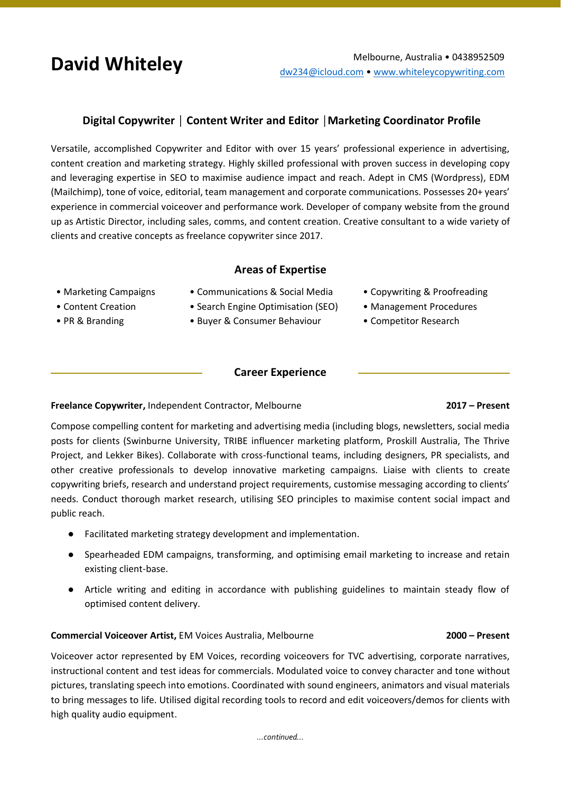# **Digital Copywriter │ Content Writer and Editor │Marketing Coordinator Profile**

Versatile, accomplished Copywriter and Editor with over 15 years' professional experience in advertising, content creation and marketing strategy. Highly skilled professional with proven success in developing copy and leveraging expertise in SEO to maximise audience impact and reach. Adept in CMS (Wordpress), EDM (Mailchimp), tone of voice, editorial, team management and corporate communications. Possesses 20+ years' experience in commercial voiceover and performance work. Developer of company website from the ground up as Artistic Director, including sales, comms, and content creation. Creative consultant to a wide variety of clients and creative concepts as freelance copywriter since 2017.

### **Areas of Expertise**

- Marketing Campaigns
- Communications & Social Media
- Content Creation
- PR & Branding
- Search Engine Optimisation (SEO)
- Buyer & Consumer Behaviour
- Copywriting & Proofreading
- Management Procedures
- Competitor Research

## **Career Experience**

### **Freelance Copywriter,** Independent Contractor, Melbourne **2017 – Present**

# Compose compelling content for marketing and advertising media (including blogs, newsletters, social media posts for clients (Swinburne University, TRIBE influencer marketing platform, Proskill Australia, The Thrive Project, and Lekker Bikes). Collaborate with cross-functional teams, including designers, PR specialists, and other creative professionals to develop innovative marketing campaigns. Liaise with clients to create copywriting briefs, research and understand project requirements, customise messaging according to clients' needs. Conduct thorough market research, utilising SEO principles to maximise content social impact and public reach.

- Facilitated marketing strategy development and implementation.
- Spearheaded EDM campaigns, transforming, and optimising email marketing to increase and retain existing client-base.
- Article writing and editing in accordance with publishing guidelines to maintain steady flow of optimised content delivery.

### **Commercial Voiceover Artist,** EM Voices Australia, Melbourne **2000 – Present**

Voiceover actor represented by EM Voices, recording voiceovers for TVC advertising, corporate narratives, instructional content and test ideas for commercials. Modulated voice to convey character and tone without pictures, translating speech into emotions. Coordinated with sound engineers, animators and visual materials to bring messages to life. Utilised digital recording tools to record and edit voiceovers/demos for clients with high quality audio equipment.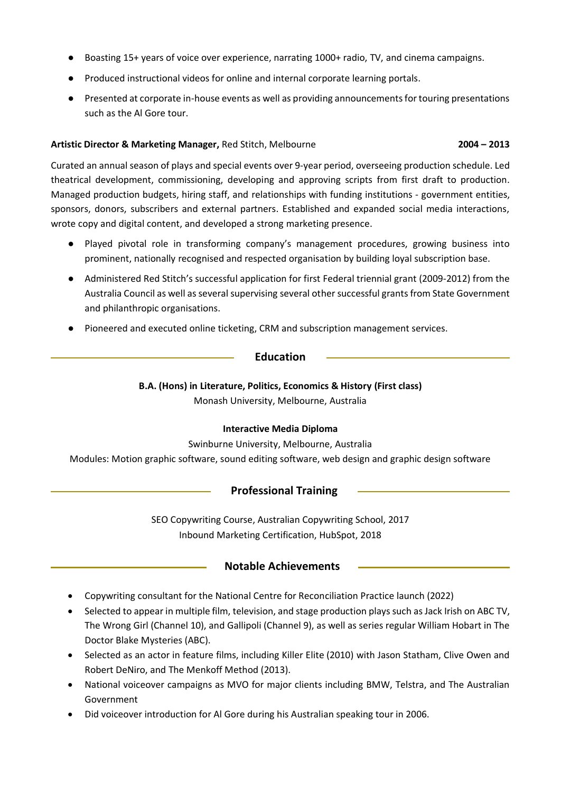- Boasting 15+ years of voice over experience, narrating 1000+ radio, TV, and cinema campaigns.
- Produced instructional videos for online and internal corporate learning portals.
- Presented at corporate in-house events as well as providing announcements for touring presentations such as the Al Gore tour.

#### **Artistic Director & Marketing Manager,** Red Stitch, Melbourne **2004 – 2013**

Curated an annual season of plays and special events over 9-year period, overseeing production schedule. Led theatrical development, commissioning, developing and approving scripts from first draft to production. Managed production budgets, hiring staff, and relationships with funding institutions - government entities, sponsors, donors, subscribers and external partners. Established and expanded social media interactions, wrote copy and digital content, and developed a strong marketing presence.

- Played pivotal role in transforming company's management procedures, growing business into prominent, nationally recognised and respected organisation by building loyal subscription base.
- Administered Red Stitch's successful application for first Federal triennial grant (2009-2012) from the Australia Council as well as several supervising several other successful grants from State Government and philanthropic organisations.
- Pioneered and executed online ticketing, CRM and subscription management services.

### **Education**

## **B.A. (Hons) in Literature, Politics, Economics & History (First class)** Monash University, Melbourne, Australia

### **Interactive Media Diploma**

Swinburne University, Melbourne, Australia

Modules: Motion graphic software, sound editing software, web design and graphic design software

## **Professional Training**

SEO Copywriting Course, Australian Copywriting School, 2017 Inbound Marketing Certification, HubSpot, 2018

### **Notable Achievements**

- Copywriting consultant for the National Centre for Reconciliation Practice launch (2022)
- Selected to appear in multiple film, television, and stage production plays such as Jack Irish on ABC TV, The Wrong Girl (Channel 10), and Gallipoli (Channel 9), as well as series regular William Hobart in The Doctor Blake Mysteries (ABC).
- Selected as an actor in feature films, including Killer Elite (2010) with Jason Statham, Clive Owen and Robert DeNiro, and The Menkoff Method (2013).
- National voiceover campaigns as MVO for major clients including BMW, Telstra, and The Australian Government
- Did voiceover introduction for Al Gore during his Australian speaking tour in 2006.